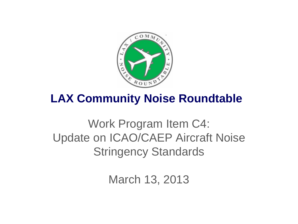

## **LAX Community Noise Roundtable**

## Work Program Item C4: Update on ICAO/CAEP Aircraft Noise Stringency Standards

March 13, 2013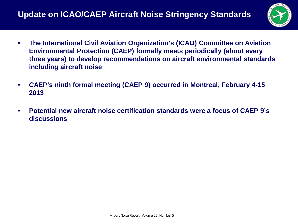

- **The International Civil Aviation Organization's (ICAO) Committee on Aviation Environmental Protection (CAEP) formally meets periodically (about every three years) to develop recommendations on aircraft environmental standards including aircraft noise**
- **CAEP's ninth formal meeting (CAEP 9) occurred in Montreal, February 4-15 2013**
- **Potential new aircraft noise certification standards were a focus of CAEP 9's discussions**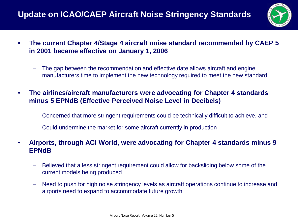

- **The current Chapter 4/Stage 4 aircraft noise standard recommended by CAEP 5 in 2001 became effective on January 1, 2006**
	- The gap between the recommendation and effective date allows aircraft and engine manufacturers time to implement the new technology required to meet the new standard
- **The airlines/aircraft manufacturers were advocating for Chapter 4 standards minus 5 EPNdB (Effective Perceived Noise Level in Decibels)** 
	- Concerned that more stringent requirements could be technically difficult to achieve, and
	- Could undermine the market for some aircraft currently in production
- **Airports, through ACI World, were advocating for Chapter 4 standards minus 9 EPNdB**
	- Believed that a less stringent requirement could allow for backsliding below some of the current models being produced
	- Need to push for high noise stringency levels as aircraft operations continue to increase and airports need to expand to accommodate future growth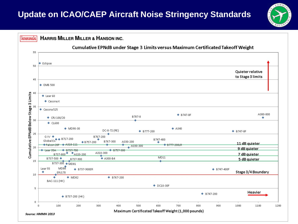## **Update on ICAO/CAEP Aircraft Noise Stringency Standards**